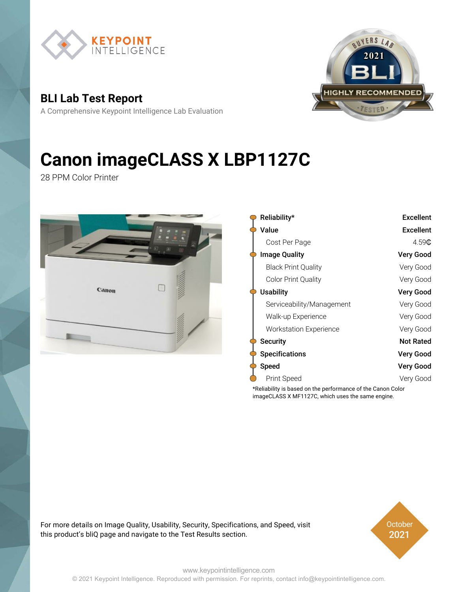

**BLI Lab Test Report**

A Comprehensive Keypoint Intelligence Lab Evaluation



# **Canon imageCLASS X LBP1127C**

28 PPM Color Printer



|  | Reliability*                  | <b>Excellent</b> |  |  |  |
|--|-------------------------------|------------------|--|--|--|
|  | Value                         | <b>Excellent</b> |  |  |  |
|  | Cost Per Page                 | 4.59C            |  |  |  |
|  | <b>Image Quality</b>          | Very Good        |  |  |  |
|  | <b>Black Print Quality</b>    | Very Good        |  |  |  |
|  | <b>Color Print Quality</b>    | Very Good        |  |  |  |
|  | Usability                     | Very Good        |  |  |  |
|  | Serviceability/Management     | Very Good        |  |  |  |
|  | Walk-up Experience            | Very Good        |  |  |  |
|  | <b>Workstation Experience</b> | Very Good        |  |  |  |
|  | <b>Security</b>               | <b>Not Rated</b> |  |  |  |
|  | <b>Specifications</b>         | Very Good        |  |  |  |
|  | <b>Speed</b>                  | Very Good        |  |  |  |
|  | Print Speed                   | Very Good        |  |  |  |
|  |                               |                  |  |  |  |

\*Reliability is based on the performance of the Canon Color imageCLASS X MF1127C, which uses the same engine.

For more details on Image Quality, Usability, Security, Specifications, and Speed, visit this product's bliQ page and navigate to the Test Results section.



[www.keypointintelligence.com](https://www.keypointintelligence.com) © 2021 Keypoint Intelligence. Reproduced with permission. For reprints, contact info@keypointintelligence.com.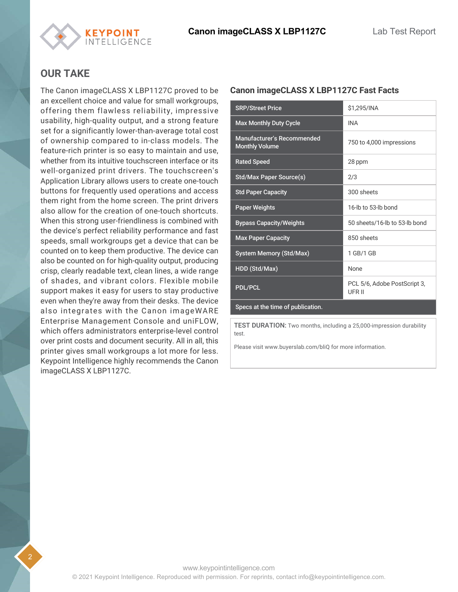

#### **OUR TAKE**

The Canon imageCLASS X LBP1127C proved to be an excellent choice and value for small workgroups, offering them flawless reliability, impressive usability, high-quality output, and a strong feature set for a significantly lower-than-average total cost of ownership compared to in-class models. The feature-rich printer is so easy to maintain and use, whether from its intuitive touchscreen interface or its well-organized print drivers. The touchscreen's Application Library allows users to create one-touch buttons for frequently used operations and access them right from the home screen. The print drivers also allow for the creation of one-touch shortcuts. When this strong user-friendliness is combined with the device's perfect reliability performance and fast speeds, small workgroups get a device that can be counted on to keep them productive. The device can also be counted on for high-quality output, producing crisp, clearly readable text, clean lines, a wide range of shades, and vibrant colors. Flexible mobile support makes it easy for users to stay productive even when they're away from their desks. The device also integrates with the Canon imageWARE Enterprise Management Console and uniFLOW, which offers administrators enterprise-level control over print costs and document security. All in all, this printer gives small workgroups a lot more for less. Keypoint Intelligence highly recommends the Canon imageCLASS X LBP1127C.

### SRP/Street Price \$1,295/INA Max Monthly Duty Cycle **INA** Manufacturer's Recommended Manufacturer's Recommended<br>Monthly Volume<br>Monthly Volume Rated Speed 28 ppm Std/Max Paper Source(s) 2/3 Std Paper Capacity **300** sheets Paper Weights 16-lb to 53-lb bond Bypass Capacity/Weights 50 sheets/16-lb to 53-lb bond Max Paper Capacity **850** sheets System Memory (Std/Max) 1 GB/1 GB HDD (Std/Max) None PDL/PCL POL FOR THE POLE POSTSCRIPT 3, UFR II Specs at the time of publication.

**Canon imageCLASS X LBP1127C Fast Facts**

TEST DURATION: Two months, including a 25,000-impression durability test.

Please visit www.buyerslab.com/bliQ for more information.

2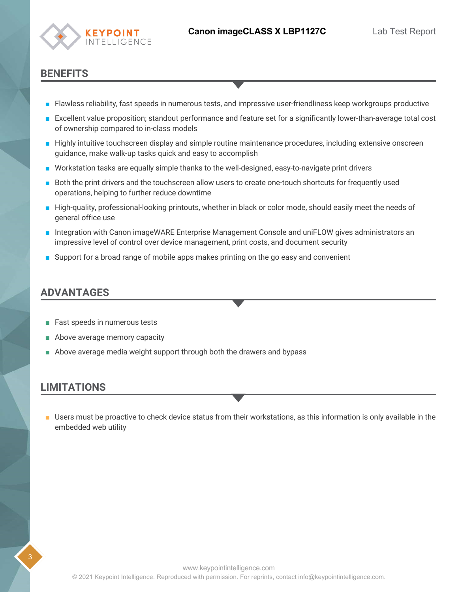

#### **BENEFITS**

- Flawless reliability, fast speeds in numerous tests, and impressive user-friendliness keep workgroups productive
- Excellent value proposition; standout performance and feature set for a significantly lower-than-average total cost of ownership compared to in-class models
- Highly intuitive touchscreen display and simple routine maintenance procedures, including extensive onscreen guidance, make walk-up tasks quick and easy to accomplish
- Workstation tasks are equally simple thanks to the well-designed, easy-to-navigate print drivers
- Both the print drivers and the touchscreen allow users to create one-touch shortcuts for frequently used operations, helping to further reduce downtime
- High-quality, professional-looking printouts, whether in black or color mode, should easily meet the needs of general office use
- Integration with Canon imageWARE Enterprise Management Console and uniFLOW gives administrators an impressive level of control over device management, print costs, and document security
- Support for a broad range of mobile apps makes printing on the go easy and convenient

#### **ADVANTAGES**

- Fast speeds in numerous tests
- Above average memory capacity
- Above average media weight support through both the drawers and bypass

#### **LIMITATIONS**

■ Users must be proactive to check device status from their workstations, as this information is only available in the embedded web utility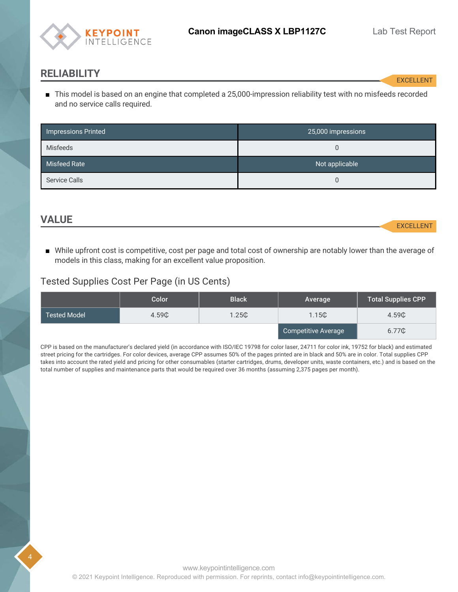

#### <span id="page-3-0"></span>**RELIABILITY**

EXCELLENT

This model is based on an engine that completed a 25,000-impression reliability test with no misfeeds recorded ■ and no service calls required.

| Impressions Printed  | 25,000 impressions |
|----------------------|--------------------|
| <b>Misfeeds</b>      | U                  |
| Misfeed Rate         | Not applicable     |
| <b>Service Calls</b> |                    |

#### <span id="page-3-1"></span>**VALUE**

4

EXCELLENT

■ While upfront cost is competitive, cost per page and total cost of ownership are notably lower than the average of models in this class, making for an excellent value proposition.

#### Tested Supplies Cost Per Page (in US Cents)

|                     | Color | <b>Black</b> | Average             | <b>Total Supplies CPP</b> |
|---------------------|-------|--------------|---------------------|---------------------------|
| <b>Tested Model</b> | 4.59C | 1.25C        | 1.15C               | 4.59C                     |
|                     |       |              | Competitive Average | 6.77C                     |

CPP is based on the manufacturer's declared yield (in accordance with ISO/IEC 19798 for color laser, 24711 for color ink, 19752 for black) and estimated street pricing for the cartridges. For color devices, average CPP assumes 50% of the pages printed are in black and 50% are in color. Total supplies CPP takes into account the rated yield and pricing for other consumables (starter cartridges, drums, developer units, waste containers, etc.) and is based on the total number of supplies and maintenance parts that would be required over 36 months (assuming 2,375 pages per month).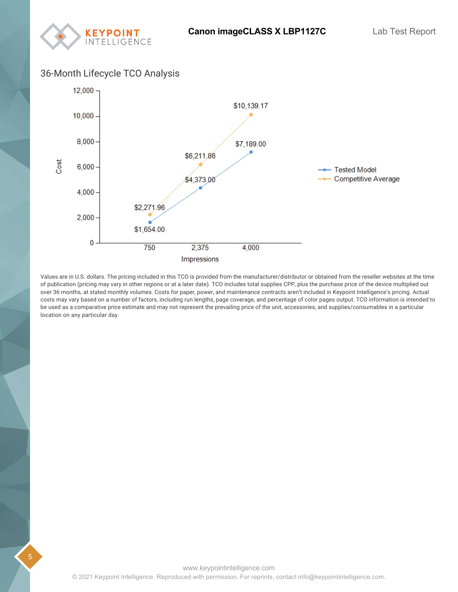

#### 36-Month Lifecycle TCO Analysis



Values are in U.S. dollars. The pricing included in this TCO is provided from the manufacturer/distributor or obtained from the reseller websites at the time of publication (pricing may vary in other regions or at a later date). TCO includes total supplies CPP, plus the purchase price of the device multiplied out over 36 months, at stated monthly volumes. Costs for paper, power, and maintenance contracts aren't included in Keypoint Intelligence's pricing. Actual costs may vary based on a number of factors, including run lengths, page coverage, and percentage of color pages output. TCO information is intended to be used as a comparative price estimate and may not represent the prevailing price of the unit, accessories, and supplies/consumables in a particular location on any particular day.

5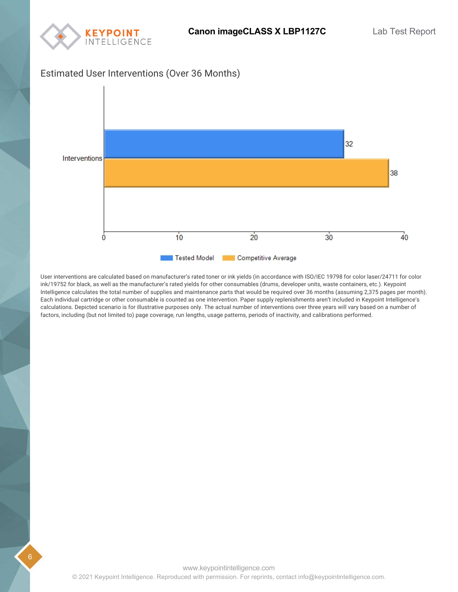

#### Estimated User Interventions (Over 36 Months)



User interventions are calculated based on manufacturer's rated toner or ink yields (in accordance with ISO/IEC 19798 for color laser/24711 for color ink/19752 for black, as well as the manufacturer's rated yields for other consumables (drums, developer units, waste containers, etc.). Keypoint Intelligence calculates the total number of supplies and maintenance parts that would be required over 36 months (assuming 2,375 pages per month). Each individual cartridge or other consumable is counted as one intervention. Paper supply replenishments aren't included in Keypoint Intelligence's calculations. Depicted scenario is for illustrative purposes only. The actual number of interventions over three years will vary based on a number of factors, including (but not limited to) page coverage, run lengths, usage patterns, periods of inactivity, and calibrations performed.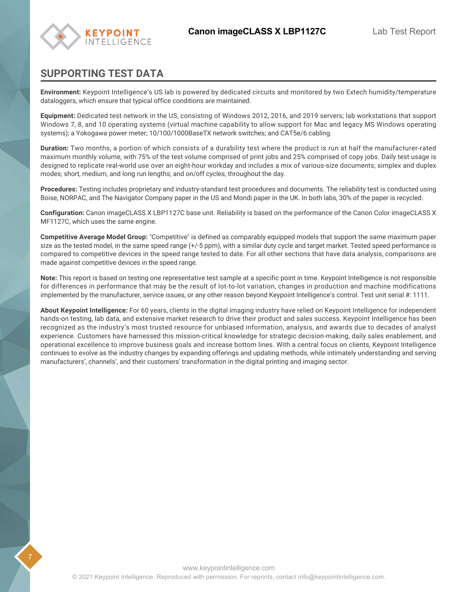

#### **SUPPORTING TEST DATA**

**Environment:** Keypoint Intelligence's US lab is powered by dedicated circuits and monitored by two Extech humidity/temperature dataloggers, which ensure that typical office conditions are maintained.

**Equipment:** Dedicated test network in the US, consisting of Windows 2012, 2016, and 2019 servers; lab workstations that support Windows 7, 8, and 10 operating systems (virtual machine capability to allow support for Mac and legacy MS Windows operating systems); a Yokogawa power meter; 10/100/1000BaseTX network switches; and CAT5e/6 cabling.

**Duration:** Two months, a portion of which consists of a durability test where the product is run at half the manufacturer-rated maximum monthly volume, with 75% of the test volume comprised of print jobs and 25% comprised of copy jobs. Daily test usage is designed to replicate real-world use over an eight-hour workday and includes a mix of various-size documents; simplex and duplex modes; short, medium, and long run lengths; and on/off cycles, throughout the day.

**Procedures:** Testing includes proprietary and industry-standard test procedures and documents. The reliability test is conducted using Boise, NORPAC, and The Navigator Company paper in the US and Mondi paper in the UK. In both labs, 30% of the paper is recycled.

**Configuration:** Canon imageCLASS X LBP1127C base unit. Reliability is based on the performance of the Canon Color imageCLASS X MF1127C, which uses the same engine.

**Competitive Average Model Group:** "Competitive" is defined as comparably equipped models that support the same maximum paper size as the tested model, in the same speed range (+/-5 ppm), with a similar duty cycle and target market. Tested speed performance is compared to competitive devices in the speed range tested to date. For all other sections that have data analysis, comparisons are made against competitive devices in the speed range.

**Note:** This report is based on testing one representative test sample at a specific point in time. Keypoint Intelligence is not responsible for differences in performance that may be the result of lot-to-lot variation, changes in production and machine modifications implemented by the manufacturer, service issues, or any other reason beyond Keypoint Intelligence's control. Test unit serial #: 1111.

**About Keypoint Intelligence:** For 60 years, clients in the digital imaging industry have relied on Keypoint Intelligence for independent hands-on testing, lab data, and extensive market research to drive their product and sales success. Keypoint Intelligence has been recognized as the industry's most trusted resource for unbiased information, analysis, and awards due to decades of analyst experience. Customers have harnessed this mission-critical knowledge for strategic decision-making, daily sales enablement, and operational excellence to improve business goals and increase bottom lines. With a central focus on clients, Keypoint Intelligence continues to evolve as the industry changes by expanding offerings and updating methods, while intimately understanding and serving manufacturers', channels', and their customers' transformation in the digital printing and imaging sector.

7